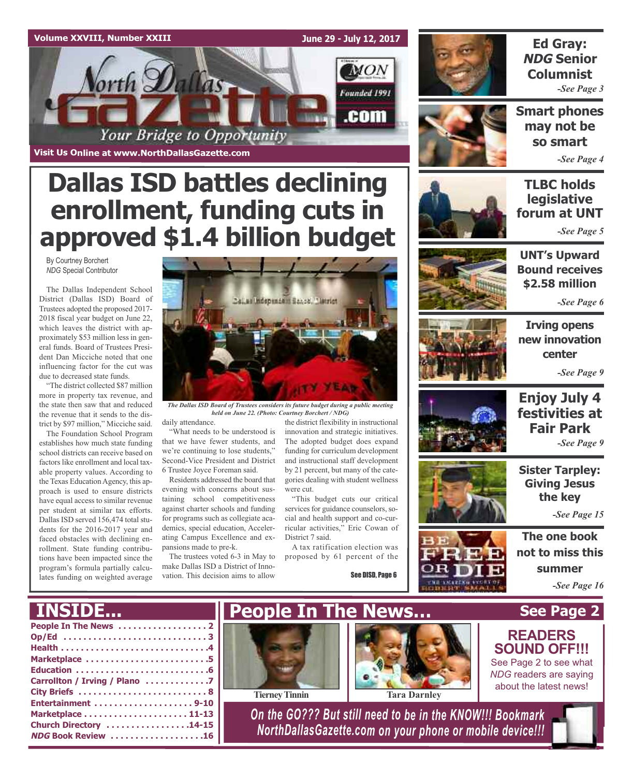### **Volume XXVIII, Number XXIII**

**Visit Us Online at www.NorthDallasGazette.com**

 $\mathsf{Vert}\mathcal{D}$ al

**June 29 - July 12, 2017**

 $MON$ 

Founded 1991

.com



### **Ed Gray: NDG Senior Columnist**

*-See Page 3*

**Smart phones may not be so smart**

*-See Page 4*

### **TLBC holds legislative forum at UNT**

*-See Page 5*

**UNT's Upward Bound receives \$2.58 million**

*-See Page 6*

**Irving opens new innovation center** *-See Page 9*

**Enjoy July 4**

### **festivities at Fair Park** *-See Page 9*

**Sister Tarpley: Giving Jesus the key**

*-See Page 15*

**The one book not to miss this summer** *-See Page 16*

# By Courtney Borchert **Dallas ISD battles declining enrollment, funding cuts in approved \$1.4 billion budget**

Your Bridge to Opportunity

*NDG* Special Contributor

The Dallas Independent School District (Dallas ISD) Board of Trustees adopted the proposed 2017- 2018 fiscal year budget on June 22, which leaves the district with approximately \$53 million less in general funds. Board of Trustees President Dan Micciche noted that one influencing factor for the cut was due to decreased state funds.

"The district collected \$87 million more in property tax revenue, and the state then saw that and reduced the revenue that it sends to the district by \$97 million," Micciche said.

The Foundation School Program establishes how much state funding school districts can receive based on factors like enrollment and local taxable property values. According to the Texas Education Agency, this approach is used to ensure districts have equal access to similar revenue per student at similar tax efforts. Dallas ISD served 156,474 total students for the 2016-2017 year and faced obstacles with declining enrollment. State funding contributions have been impacted since the program's formula partially calculates funding on weighted average

**Marketplace . . . . . . . . . . . . . . . . . . . . . 11-13 Church Directory . . . . . . . . . . . . . . . . .14-15 NDG Book Review . . . . . . . . . . . . . . . . . . .16**



*The Dallas ISD Board of Trustees considers its future budget during a public meeting held on June 22. (Photo: Courtney Borchert / NDG)*

daily attendance.

"What needs to be understood is that we have fewer students, and we're continuing to lose students," Second-Vice President and District 6 Trustee Joyce Foreman said.

Residents addressed the board that evening with concerns about sustaining school competitiveness against charter schools and funding for programs such as collegiate academics, special education, Accelerating Campus Excellence and expansions made to pre-k.

The trustees voted 6-3 in May to make Dallas ISD a District of Innovation. This decision aims to allow

the district flexibility in instructional innovation and strategic initiatives. The adopted budget does expand funding for curriculum development and instructional staff development by 21 percent, but many of the categories dealing with student wellness were cut.

"This budget cuts our critical services for guidance counselors, social and health support and co-curricular activities," Eric Cowan of District 7 said.

A tax ratification election was proposed by 61 percent of the

See DISD, Page 6



**People In The News . . . . . . . . . . . . . . . . . . 2 Op/Ed . . . . . . . . . . . . . . . . . . . . . . . . . . . . . 3 Health . . . . . . . . . . . . . . . . . . . . . . . . . . . . . .4 Marketplace . . . . . . . . . . . . . . . . . . . . . . . . .5 Education . . . . . . . . . . . . . . . . . . . . . . . . . . .6 Carrollton / Irving / Plano . . . . . . . . . . . . .7 City Briefs . . . . . . . . . . . . . . . . . . . . . . . . . . 8 Entertainment . . . . . . . . . . . . . . . . . . . . 9-10 INSIDE... See Page 2 People In The News… TierneyTinnin Tara Darnley READERS SOUND OFF!!!** See Page 2 to see what *NDG* readers are saying about the latest news!

*On the GO??? But still need to be in the KNOW!!! Bookmark NorthDallasGazette.com on your phone or mobile device!!!*

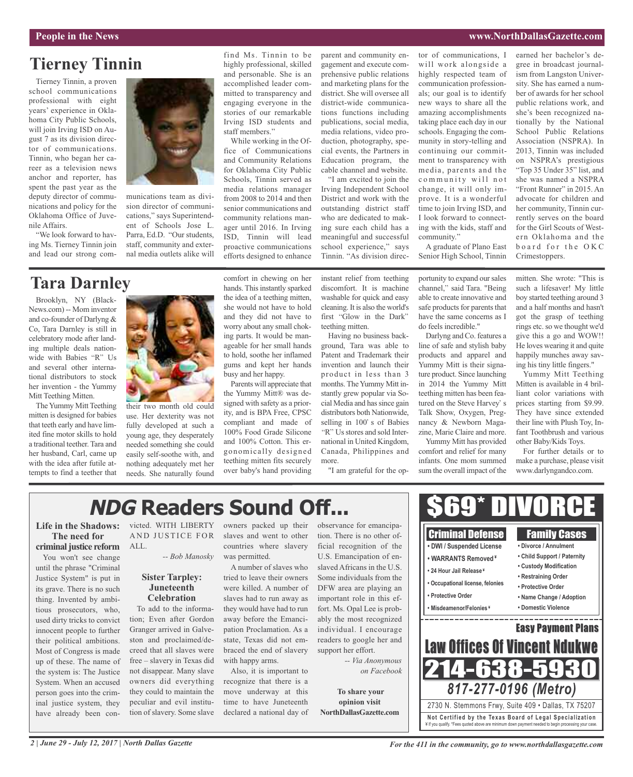### **People in the News www.NorthDallasGazette.com**

### **Tierney Tinnin**

Tierney Tinnin, a proven school communications professional with eight years' experience in Oklahoma City Public Schools, will join Irving ISD on August 7 as its division director of communications. Tinnin, who began her career as a television news anchor and reporter, has spent the past year as the deputy director of communications and policy for the Oklahoma Office of Juvenile Affairs.

"We look forward to having Ms. Tierney Tinnin join and lead our strong com-



munications team as division director of communications," says Superintendent of Schools Jose L. Parra, Ed.D. "Our students, staff, community and external media outlets alike will

#### find Ms. Tinnin to be highly professional, skilled and personable. She is an accomplished leader committed to transparency and engaging everyone in the stories of our remarkable Irving ISD students and staff members."

While working in the Office of Communications and Community Relations for Oklahoma City Public Schools, Tinnin served as media relations manager from 2008 to 2014 and then senior communications and community relations manager until 2016. In Irving ISD, Tinnin will lead proactive communications efforts designed to enhance

comfort in chewing on her

parent and community engagement and execute comprehensive public relations and marketing plans for the district. She will oversee all district-wide communications functions including publications, social media, media relations, video production, photography, special events, the Partners in Education program, the cable channel and website.

"I am excited to join the Irving Independent School District and work with the outstanding district staff who are dedicated to making sure each child has a meaningful and successful school experience," says Tinnin. "As division direc-

instant relief from teething able to create innovative and safe products for parents that have the same concerns as I do feels incredible."

Having no business background, Tara was able to Patent and Trademark their invention and launch their product in less than 3 months. The Yummy Mitt instantly grew popular via Social Media and hassince gain distributors both Nationwide, selling in 100's of Babies "R" Us stores and sold International in United Kingdom, Canada, Philippines and more.

portunity to expand our sales channel," said Tara. "Being ment to transparency with media, parents and the community will not change, it will only improve. It is a wonderful time to join Irving ISD, and I look forward to connecting with the kids, staff and community." A graduate of Plano East Senior High School, Tinnin

tor of communications, I will work alongside a highly respected team of communication professionals; our goal is to identify new ways to share all the amazing accomplishments taking place each day in our schools. Engaging the community in story-telling and continuing our commit-

Darlyng and Co. features a line of safe and stylish baby products and apparel and Yummy Mitt is their signature product. Since launching in 2014 the Yummy Mitt teething mitten has been featured on the Steve Harvey's Talk Show, Oxygen, Pregnancy & Newborn Magazine, Marie Claire and more. Yummy Mitt has provided comfort and relief for many infants. One mom summed sum the overall impact of the earned her bachelor's degree in broadcast journalism from Langston University. She has earned a number of awards for her school public relations work, and she's been recognized nationally by the National School Public Relations Association (NSPRA). In 2013, Tinnin was included on NSPRA's prestigious "Top 35 Under 35" list, and she was named a NSPRA "Front Runner" in 2015. An advocate for children and her community, Tinnin currently serves on the board for the Girl Scouts of Western Oklahoma and the board for the OKC Crimestoppers.

mitten. She wrote: "This is such a lifesaver! My little boy started teething around 3 and a half months and hasn't got the grasp of teething rings etc. so we thought we'd give this a go and WOW!! He loves wearing it and quite happily munches away saving his tiny little fingers."

Yummy Mitt Teething Mitten is available in 4 brilliant color variations with prices starting from \$9.99. They have since extended their line with Plush Toy, Infant Toothbrush and various other Baby/Kids Toys.

For further details or to make a purchase, please visit www.darlyngandco.com.

## **Tara Darnley**

Brooklyn, NY (Black-News.com) -- Mom inventor and co-founder of Darlyng & Co, Tara Darnley is still in celebratory mode after landing multiple deals nationwide with Babies "R" Us and several other international distributors to stock her invention - the Yummy Mitt Teething Mitten.

The Yummy Mitt Teething mitten is designed for babies that teeth early and have limited fine motor skills to hold a traditional teether. Tara and her husband, Carl, came up with the idea after futile attempts to find a teether that



their two month old could use. Her dexterity was not fully developed at such a young age, they desperately needed something she could easily self-soothe with, and nothing adequately met her needs. She naturally found and they did not have to worry about any small choking parts. It would be manageable for her small hands to hold, soothe her inflamed gums and kept her hands busy and her happy. Parents will appreciate that the Yummy Mitt® was designed with safety as a prior-

ity, and is BPA Free, CPSC compliant and made of 100% Food Grade Silicone and 100% Cotton. This ergonomically designed teething mitten fits securely over baby's hand providing

hands. This instantly sparked the idea of a teething mitten, she would not have to hold discomfort. It is machine washable for quick and easy cleaning. It is also the world's first "Glow in the Dark" teething mitten.

"I am grateful for the op-

## **NDG Readers Sound Off...**

#### **Life in the Shadows: The need for criminaljustice reform**

You won't see change until the phrase "Criminal Justice System" is put in its grave. There is no such thing. Invented by ambitious prosecutors, who, used dirty tricks to convict innocent people to further their political ambitions. Most of Congress is made up of these. The name of the system is: The Justice System. When an accused person goes into the criminal justice system, they have already been convicted. WITH LIBERTY AND JUSTICE FOR

*-- Bob Manosky*

### **Sister Tarpley: Juneteenth Celebration**

ALL.

To add to the information; Even after Gordon Granger arrived in Galveston and proclaimed/decreed that all slaves were free – slavery in Texas did not disappear. Many slave owners did everything they could to maintain the peculiar and evil institution of slavery. Some slave

owners packed up their slaves and went to other countries where slavery was permitted.

A number of slaves who tried to leave their owners were killed. A number of slaves had to run away as they would have had to run away before the Emancipation Proclamation. As a state, Texas did not embraced the end of slavery with happy arms.

Also, it is important to recognize that there is a move underway at this time to have Juneteenth declared a national day of observance for emancipation. There is no other official recognition of the U.S. Emancipation of enslaved Africans in the U.S. Some individuals from the DFW area are playing an important role in this effort. Ms. Opal Lee is probably the most recognized individual. I encourage readers to google her and support her effort. *-- Via Anonymous*

*on Facebook*

**To share your opinion visit NorthDallasGazette.com**



*For the 411 in the community, go to www.northdallasgazette.com*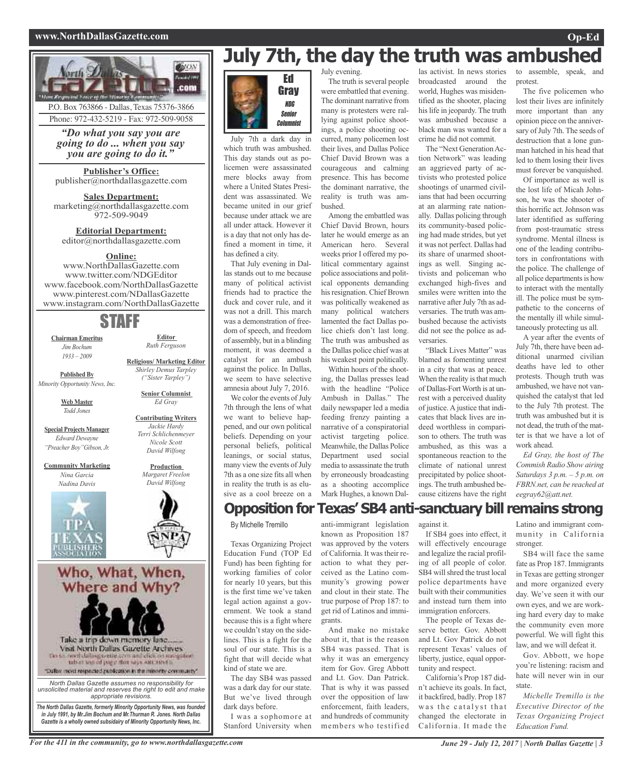#### **www.NorthDallasGazette.com Op-Ed**



Phone: 972-432-5219 - Fax: 972-509-9058

*"Do what you say you are going to do ... when you say you are going to do it."*

**Publisher's Office:** publisher@northdallasgazette.com

**Sales Department:** marketing@northdallasgazette.com 972-509-9049

**Editorial Department:** editor@northdallasgazette.com

### **Online:**

www.NorthDallasGazette.com www.twitter.com/NDGEditor www.facebook.com/NorthDallasGazette www.pinterest.com/NDallasGazette www.instagram.com/NorthDallasGazette

### STAFF

**Chairman Emeritus** *Jim Bochum 1933 – 2009*

**Editor** *Ruth Ferguson*

**Religious/ Marketing Editor** *Shirley Demus Tarpley ("Sister Tarpley")* **Senior Columnist** *Ed Gray*

> **Contributing Writers** *Jackie Hardy Terri Schlichenmeyer*

**Published By**

*Minority Opportunity News, Inc.*

**Web Master** *Todd Jones*

**Special Projects Manager** *Edward Dewayne "Preacher Boy"Gibson, Jr.*

**Community Marketing** *Nina Garcia Nadina Davis*



*Nicole Scott David Wilfong* **Production** *Margaret Freelon*



Who, What, When, Where and Why?



*North Dallas Gazette assumes no responsibility for unsolicited material and reserves the right to edit and make appropriate revisions.*

*The North Dallas Gazette, formerly Minority Opportunity News, was founded in July 1991, by Mr.Jim Bochum and Mr.Thurman R. Jones. North Dallas Gazette is a wholly owned subsidairy of Minority Opportunity News, Inc.*

## **July 7th, the day the truth was ambushed**



July 7th a dark day in which truth was ambushed. This day stands out as policemen were assassinated mere blocks away from where a United States President was assassinated. We became united in our grief because under attack we are all under attack. However it is a day that not only has defined a moment in time, it has defined a city.

That July evening in Dallas stands out to me because many of political activist friends had to practice the duck and cover rule, and it was not a drill. This march was a demonstration of freedom of speech, and freedom of assembly, but in a blinding moment, it was deemed a catalyst for an ambush against the police. In Dallas, we seem to have selective amnesia about July 7, 2016.

We color the events of July 7th through the lens of what we want to believe happened, and our own political beliefs. Depending on your personal beliefs, political leanings, or social status, many view the events of July 7th as a one size fits all when in reality the truth is as elusive as a cool breeze on a July evening. The truth is several people were embattled that evening. The dominant narrative from many is protesters were rallying against police shootings, a police shooting occurred, many policemen lost their lives, and Dallas Police Chief David Brown was a courageous and calming presence. This has become the dominant narrative, the reality is truth was ambushed.

Among the embattled was Chief David Brown, hours later he would emerge as an American hero. Several weeks prior I offered my political commentary against police associations and political opponents demanding his resignation. Chief Brown was politically weakened as many political watchers lamented the fact Dallas police chiefs don't last long. The truth was ambushed as the Dallas police chief was at his weakest point politically.

Within hours of the shooting, the Dallas presses lead with the headline "Police Ambush in Dallas." The daily newspaper led a media feeding frenzy painting a narrative of a conspiratorial activist targeting police. Meanwhile, the Dallas Police Department used social media to assassinate the truth by erroneously broadcasting as a shooting accomplice Mark Hughes, a known Dal-

las activist. In news stories broadcasted around the world, Hughes was misidentified as the shooter, placing hislife in jeopardy. The truth was ambushed because a black man was wanted for a crime he did not commit.

The "Next Generation Action Network" was leading an aggrieved party of activists who protested police shootings of unarmed civilians that had been occurring at an alarming rate nationally. Dallas policing through its community-based policing had made strides, but yet it was not perfect. Dallas had its share of unarmed shootings as well. Singing activists and policeman who exchanged high-fives and smiles were written into the narrative after July 7th as adversaries. The truth was ambushed because the activists did not see the police as adversaries.

"Black Lives Matter" was blamed as fomenting unrest in a city that was at peace. When the reality is that much of Dallas-FortWorth is at unrest with a perceived duality of justice. A justice that indicates that black lives are indeed worthless in comparison to others. The truth was ambushed, as this was a spontaneous reaction to the climate of national unrest precipitated by police shootings. The truth ambushed because citizens have the right

to assemble, speak, and protest.

The five policemen who lost their lives are infinitely more important than any opinion piece on the anniversary of July 7th. The seeds of destruction that a lone gunman hatched in his head that led to them losing their lives must forever be vanquished.

Of importance as well is the lost life of Micah Johnson, he was the shooter of this horrific act.Johnson was later identified as suffering from post-traumatic stress syndrome. Mental illness is one of the leading contributors in confrontations with the police. The challenge of all police departments is how to interact with the mentally ill. The police must be sympathetic to the concerns of the mentally ill while simultaneously protecting us all.

A year after the events of July 7th, there have been additional unarmed civilian deaths have led to other protests. Though truth was ambushed, we have not vanquished the catalyst that led to the July 7th protest. The truth was ambushed but it is not dead, the truth of the matter is that we have a lot of work ahead.

*Ed Gray, the host of The Commish Radio Show airing Saturdays 3 p.m. – 5 p.m. on FBRN.net, can be reached at eegray62@att.net.*

### **Opposition for Texas' SB4 anti-sanctuary bill remains strong**

By Michelle Tremillo

Texas Organizing Project Education Fund (TOP Ed Fund) has been fighting for working families of color for nearly 10 years, but this is the first time we've taken legal action against a government. We took a stand because this is a fight where we couldn't stay on the sidelines. This is a fight for the soul of our state. This is a fight that will decide what kind of state we are.

The day SB4 was passed was a dark day for our state. But we've lived through dark days before.

I was a sophomore at Stanford University when anti-immigrant legislation known as Proposition 187 was approved by the voters of California. It wastheir reaction to what they perceived as the Latino community's growing power and clout in their state. The true purpose of Prop 187: to get rid of Latinos and immigrants.

And make no mistake about it, that is the reason SB4 was passed. That is why it was an emergency item for Gov. Greg Abbott and Lt. Gov. Dan Patrick. That is why it was passed over the opposition of law enforcement, faith leaders, and hundreds of community members who testified

against it.

If SB4 goes into effect, it will effectively encourage and legalize the racial profiling of all people of color. SB4 will shred the trust local police departments have built with their communities and instead turn them into immigration enforcers.

The people of Texas deserve better. Gov. Abbott and Lt. Gov Patrick do not represent Texas' values of liberty, justice, equal opportunity and respect.

California's Prop 187 didn't achieve its goals. In fact, it backfired, badly. Prop 187 was the catalyst that changed the electorate in California. It made the

Latino and immigrant community in California stronger.

SB4 will face the same fate as Prop 187. Immigrants in Texas are getting stronger and more organized every day. We've seen it with our own eyes, and we are working hard every day to make the community even more powerful. We will fight this law, and we will defeat it.

Gov. Abbott, we hope you're listening: racism and hate will never win in our state.

*Michelle Tremillo is the Executive Director of the Texas Organizing Project Education Fund.*

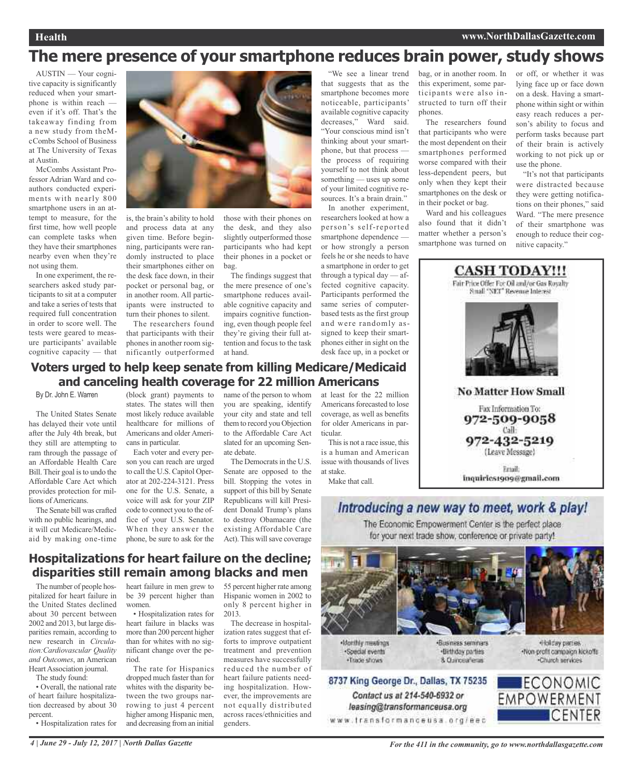### **Health www.NorthDallasGazette.com**

## **The mere presence of your smartphone reduces brain power, study shows**

AUSTIN — Your cognitive capacity is significantly reduced when your smartphone is within reach even if it's off. That's the takeaway finding from a new study from theMcCombs School of Business at The University of Texas at Austin.

McCombs Assistant Professor Adrian Ward and coauthors conducted experiments with nearly 800 smartphone users in an attempt to measure, for the first time, how well people can complete tasks when they have their smartphones nearby even when they're not using them.

In one experiment, the researchers asked study participants to sit at a computer and take a series of tests that required full concentration in order to score well. The tests were geared to measure participants' available cognitive capacity — that



is, the brain's ability to hold and process data at any given time. Before beginning, participants were randomly instructed to place their smartphones either on the desk face down, in their pocket or personal bag, or in another room. All participants were instructed to turn their phones to silent.

The researchers found that participants with their phones in another room significantly outperformed those with their phones on the desk, and they also slightly outperformed those participants who had kept their phones in a pocket or bag.

The findings suggest that the mere presence of one's smartphone reduces available cognitive capacity and impairs cognitive functioning, even though people feel they're giving their full attention and focus to the task at hand.

"We see a linear trend that suggests that as the smartphone becomes more noticeable, participants' available cognitive capacity decreases," Ward said. "Your conscious mind isn't thinking about your smartphone, but that process the process of requiring yourself to not think about something — uses up some of your limited cognitive resources. It's a brain drain."

In another experiment, researchers looked at how a person's self-reported smartphone dependence or how strongly a person feels he or she needs to have a smartphone in order to get through a typical day — affected cognitive capacity. Participants performed the same series of computerbased tests as the first group and were randomly assigned to keep their smartphones either in sight on the desk face up, in a pocket or

### **Voters urged to help keep senate from killing Medicare/Medicaid and canceling health coverage for 22 million Americans**

By Dr. John E. Warren

The United States Senate has delayed their vote until after the July 4th break, but they still are attempting to ram through the passage of an Affordable Health Care Bill. Their goal is to undo the Affordable Care Act which provides protection for millions of Americans.

The Senate bill was crafted with no public hearings, and it will cut Medicare/Medicaid by making one-time

(block grant) payments to states. The states will then most likely reduce available healthcare for millions of Americans and older Americans in particular.

Each voter and every person you can reach are urged to call the U.S. Capitol Operator at 202-224-3121. Press one for the U.S. Senate, a voice will ask for your ZIP code to connect you to the office of your U.S. Senator. When they answer the phone, be sure to ask for the name of the person to whom you are speaking, identify your city and state and tell them to record you Objection to the Affordable Care Act slated for an upcoming Senate debate.

The Democrats in the U.S. Senate are opposed to the bill. Stopping the votes in support of this bill by Senate Republicans will kill President Donald Trump's plans to destroy Obamacare (the existing Affordable Care Act). This will save coverage

at least for the 22 million Americans forecasted to lose coverage, as well as benefits for older Americans in particular.

This is not a race issue, this is a human and American issue with thousands of lives at stake.

Make that call.

bag, or in another room. In this experiment, some participants were also instructed to turn off their phones.

The researchers found that participants who were the most dependent on their smartphones performed worse compared with their less-dependent peers, but only when they kept their smartphones on the desk or in their pocket or bag.

Ward and his colleagues also found that it didn't matter whether a person's smartphone was turned on or off, or whether it was lying face up or face down on a desk. Having a smartphone within sight or within easy reach reduces a person's ability to focus and perform tasks because part of their brain is actively working to not pick up or use the phone.

"It's not that participants were distracted because they were getting notifications on their phones," said Ward. "The mere presence of their smartphone was enough to reduce their cognitive capacity."



### Introducing a new way to meet, work & play!

The Economic Empowerment Center is the perfect place for your next trade show, conference or private party!



Monthly meetings ·Special events ·Trade shows

Contact us at 214-540-6932 or

leasing@transformanceusa.org

·Business seminars ·Birthday parties 8. Curiceaferas

Holday parties. Non-profit compaign kickoffs Church terrices



### **Hospitalizations for heart failure on the decline; disparities still remain among blacks and men**

The number of people hospitalized for heart failure in the United States declined about 30 percent between 2002 and 2013, but large disparities remain, according to new research in *Circulation:Cardiovascular Quality and Outcomes*, an American Heart Association journal.

The study found:

• Overall, the national rate of heart failure hospitalization decreased by about 30 percent.

• Hospitalization rates for

heart failure in men grew to be 39 percent higher than women. • Hospitalization rates for

heart failure in blacks was more than 200 percent higher than for whites with no significant change over the period.

The rate for Hispanics dropped much faster than for whites with the disparity between the two groups narrowing to just 4 percent higher among Hispanic men, and decreasing from an initial

55 percent higher rate among Hispanic women in 2002 to only 8 percent higher in 2013.

The decrease in hospitalization rates suggest that efforts to improve outpatient treatment and prevention measures have successfully reduced the number of heart failure patients needing hospitalization. However, the improvements are not equally distributed across races/ethnicities and genders.

4 June 29 - July 12, 2017 | North Dallas Gazette **State Assemblance** For the 411 in the community, go to www.northdallasgazette.com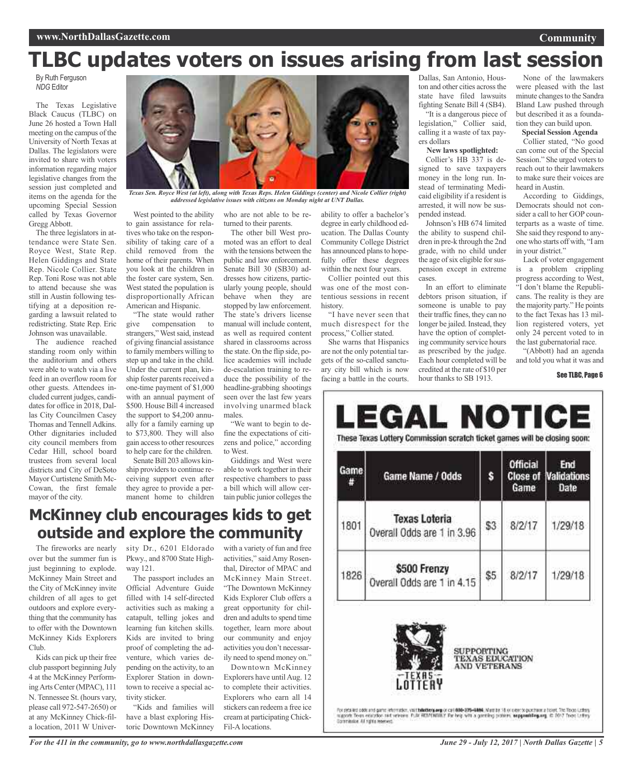## **TLBC updates voters on issues arising from last session**

ability to offer a bachelor's degree in early childhood education. The Dallas County Community College District has announced plans to hopefully offer these degrees within the next four years. Collier pointed out this was one of the most contentious sessions in recent

"I have never seen that much disrespect for the process," Collier stated. She warns that Hispanics are not the only potential targets of the so-called sanctuary city bill which is now facing a battle in the courts.

history.

By Ruth Ferguson *NDG* Editor

The Texas Legislative Black Caucus (TLBC) on June 26 hosted a Town Hall meeting on the campus of the University of North Texas at Dallas. The legislators were invited to share with voters information regarding major legislative changes from the session just completed and items on the agenda for the upcoming Special Session called by Texas Governor Gregg Abbott.

The three legislators in attendance were State Sen. Royce West, State Rep. Helen Giddings and State Rep. Nicole Collier. State Rep. Toni Rose was not able to attend because she was still in Austin following testifying at a deposition regarding a lawsuit related to redistricting. State Rep. Eric Johnson was unavailable.

The audience reached standing room only within the auditorium and others were able to watch via a live feed in an overflow room for other guests. Attendees included current judges, candidates for office in 2018, Dallas City Councilmen Casey Thomas and Tennell Adkins. Other dignitaries included city council members from Cedar Hill, school board trustees from several local districts and City of DeSoto Mayor Curtistene Smith Mc-Cowan, the first female mayor of the city.



Texas Sen. Royce West (at left), along with Texas Reps. Helen Giddings (center) and Nicole Collier (right) *addressed legislative issues with citizens on Monday night at UNT Dallas.*

West pointed to the ability to gain assistance for relatives who take on the responsibility of taking care of a child removed from the home of their parents. When you look at the children in the foster care system, Sen. West stated the population is disproportionally African American and Hispanic.

"The state would rather give compensation to strangers," West said, instead of giving financial assistance to family members willing to step up and take in the child. Under the current plan, kinship foster parents received a one-time payment of \$1,000 with an annual payment of \$500. House Bill 4 increased the support to \$4,200 annually for a family earning up to \$73,800. They will also gain accessto other resources to help care for the children.

Senate Bill 203 allows kinship providers to continue receiving support even after they agree to provide a permanent home to children

who are not able to be returned to their parents.

The other bill West promoted was an effort to deal with the tensions between the public and law enforcement. Senate Bill 30 (SB30) addresses how citizens, particularly young people, should behave when they are stopped by law enforcement. The state's drivers license manual will include content, as well as required content shared in classrooms across the state. On the flip side, police academies will include de-escalation training to reduce the possibility of the headline-grabbing shootings seen over the last few years involving unarmed black males.

"We want to begin to define the expectations of citizens and police," according to West.

Giddings and West were able to work together in their respective chambers to pass a bill which will allow certain public junior colleges the

### **McKinney club encourages kids to get outside and explore the community**

The fireworks are nearly over but the summer fun is just beginning to explode. McKinney Main Street and the City of McKinney invite children of all ages to get outdoors and explore everything that the community has to offer with the Downtown McKinney Kids Explorers Club.

Kids can pick up their free club passport beginning July 4 at the McKinney PerformingArts Center (MPAC), 111 N. Tennessee St. (hours vary, please call 972-547-2650) or at any McKinney Chick-fila location, 2011 W Univer-

sity Dr., 6201 Eldorado with a variety of fun and free Pkwy., and 8700 State Highway 121.

The passport includes an Official Adventure Guide filled with 14 self-directed activities such as making a catapult, telling jokes and learning fun kitchen skills. Kids are invited to bring proof of completing the adventure, which varies depending on the activity, to an Explorer Station in downtown to receive a special activity sticker.

"Kids and families will have a blast exploring Historic Downtown McKinney activities," said Amy Rosenthal, Director of MPAC and McKinney Main Street. "The Downtown McKinney Kids Explorer Club offers a great opportunity for children and adults to spend time together, learn more about our community and enjoy activities you don't necessarily need to spend money on."

Downtown McKinney Explorers have untilAug. 12 to complete their activities. Explorers who earn all 14 stickers can redeem a free ice cream at participating Chick-Fil-A locations.

Dallas, San Antonio, Houston and other cities across the state have filed lawsuits fighting Senate Bill 4 (SB4). "It is a dangerous piece of

legislation," Collier said, calling it a waste of tax payers dollars

#### **New laws spotlighted:**

Collier's HB 337 is designed to save taxpayers money in the long run. Instead of terminating Medicaid eligibility if a resident is arrested, it will now be suspended instead.

Johnson's HB 674 limited the ability to suspend children in pre-k through the 2nd grade, with no child under the age of six eligible for suspension except in extreme cases.

In an effort to eliminate debtors prison situation, if someone is unable to pay their traffic fines, they can no longer be jailed. Instead, they have the option of completing community service hours as prescribed by the judge. Each hour completed will be credited at the rate of \$10 per hour thanks to SB 1913.

None of the lawmakers were pleased with the last minute changes to the Sandra Bland Law pushed through but described it as a foundation they can build upon.

**Community**

### **Special Session Agenda**

Collier stated, "No good can come out of the Special Session." She urged voters to reach out to their lawmakers to make sure their voices are heard in Austin.

According to Giddings, Democrats should not consider a call to her GOP counterparts as a waste of time. She said they respond to anyone who starts off with, "I am in your district."

Lack of voter engagement is a problem crippling progress according to West, "I don't blame the Republicans. The reality is they are the majority party." He points to the fact Texas has 13 million registered voters, yet only 24 percent voted to in the last gubernatorial race.

"(Abbott) had an agenda and told you what it was and

#### See TLBC, Page 6

| Game<br># | Game Name / Odds                                   | s   | <b>Official</b><br><b>Close of</b><br>Game | End<br><b>Validations</b><br>Date |
|-----------|----------------------------------------------------|-----|--------------------------------------------|-----------------------------------|
| 1801      | <b>Texas Loteria</b><br>Overall Odds are 1 in 3.96 | \$3 | 8/2/17                                     | 1/29/18                           |
| 1826      | \$500 Frenzy<br>Overall Odds are 1 in 4.15         | \$5 | 8/2/17                                     | 1/29/18                           |



For pitales odds and game information, van **bikettery.org** or can**dide-S76-4894.** Mast be 18 or odde to puschave a toled. The Texas Ludwy<br>supports Texas existation and velevers. Publi-RCD/CMRRRP, Par help with a gambling p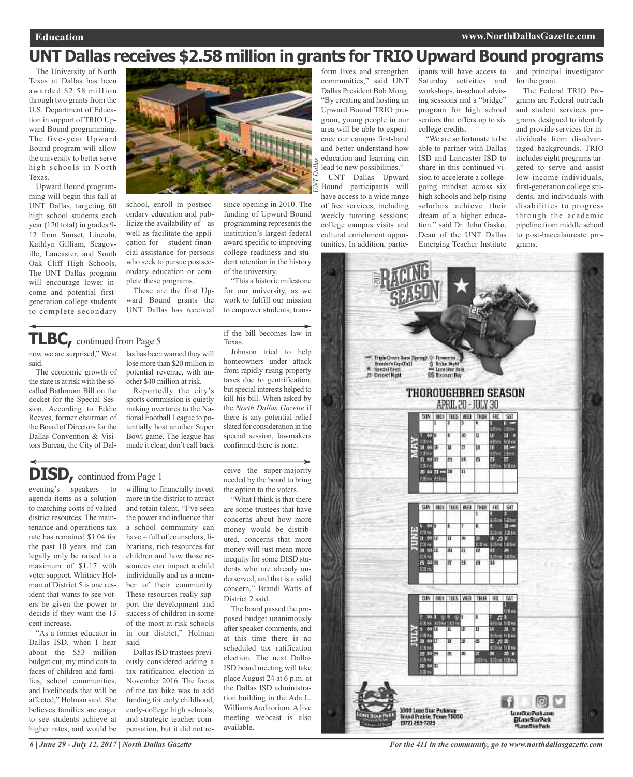## **UNT Dallas receives \$2.58 million in grants for TRIO Upward Bound programs**

*UNT*

*Dallas*

The University of North Texas at Dallas has been awarded \$2.58 million through two grants from the U.S. Department of Education in support of TRIO Upward Bound programming. The five-year Upward Bound program will allow the university to better serve high schools in North Texas.

Upward Bound programming will begin this fall at UNT Dallas, targeting 60 high school students each year (120 total) in grades 9- 12 from Sunset, Lincoln, Kathlyn Gilliam, Seagoville, Lancaster, and South Oak Cliff High Schools. The UNT Dallas program will encourage lower income and potential firstgeneration college students to complete secondary



school, enroll in postsecondary education and publicize the availability of – as well as facilitate the application for – student financial assistance for persons who seek to pursue postsecondary education or complete these programs.

These are the first Upward Bound grants the UNT Dallas has received

since opening in 2010. The funding of Upward Bound programming represents the institution's largest federal award specific to improving college readiness and student retention in the history of the university.

"This a historic milestone for our university, as we work to fulfill our mission to empower students, trans-

if the bill becomes law in

form lives and strengthen communities," said UNT Dallas President Bob Mong. "By creating and hosting an Upward Bound TRIO program, young people in our area will be able to experience our campus first-hand and better understand how education and learning can lead to new possibilities."

UNT Dallas Upward Bound participants will have access to a wide range of free services, including weekly tutoring sessions; college campus visits and cultural enrichment opportunities. In addition, participants will have access to Saturday activities and workshops, in-school advising sessions and a "bridge" program for high school seniors that offers up to six college credits.

"We are so fortunate to be able to partner with Dallas ISD and Lancaster ISD to share in this continued vision to accelerate a collegegoing mindset across six high schools and help rising scholars achieve their dream of a higher education." said Dr. John Gasko, Dean of the UNT Dallas Emerging Teacher Institute

and principal investigator for the grant.

The Federal TRIO Programs are Federal outreach and student services programs designed to identify and provide services for individuals from disadvantaged backgrounds. TRIO includes eight programs targeted to serve and assist low-income individuals, first-generation college students, and individuals with disabilities to progress through the academic pipeline from middle school to post-baccalaureate programs.



### **TLBC**, continued from Page 5

now we are surprised," West said.

The economic growth of the state is at risk with the socalled Bathroom Bill on the docket for the Special Session. According to Eddie Reeves, former chairman of the Board of Directors for the Dallas Convention & Visitors Bureau, the City of Dallas has been warned they will lose more than \$20 million in potential revenue, with another \$40 million at risk.

Reportedly the city's sports commission is quietly making overtures to the National Football League to potentially host another Super Bowl game. The league has made it clear, don't call back

Johnson tried to help homeowners under attack from rapidly rising property taxes due to gentrification, but special interests helped to kill his bill. When asked by the *North Dallas Gazette* if there is any potential relief slated for consideration in the

Texas.

## **DISD,** continued from Page <sup>1</sup>

evening's speakers to agenda items as a solution to matching costs of valued district resources. The maintenance and operations tax rate has remained \$1.04 for the past 10 years and can legally only be raised to a maximum of \$1.17 with voter support. Whitney Holman of District 5 is one resident that wants to see voters be given the power to decide if they want the 13 cent increase.

"As a former educator in Dallas ISD, when I hear about the \$53 million budget cut, my mind cuts to faces of children and families, school communities, and livelihoods that will be affected," Holman said. She believes families are eager to see students achieve at higher rates, and would be willing to financially invest more in the district to attract and retain talent. "I've seen the power and influence that a school community can have – full of counselors, librarians, rich resources for children and how those resources can impact a child individually and as a member of their community. These resources really support the development and success of children in some of the most at-risk schools in our district," Holman said.

Dallas ISD trustees previously considered adding a tax ratification election in November 2016. The focus of the tax hike was to add funding for early childhood, early-college high schools, and strategic teacher compensation, but it did not receive the super-majority needed by the board to bring the option to the voters.

special session, lawmakers confirmed there is none.

"What I think is that there are some trustees that have concerns about how more money would be distributed, concerns that more money will just mean more inequity for some DISD students who are already underserved, and that is a valid concern," Brandi Watts of District 2 said.

The board passed the proposed budget unanimously after speaker comments, and at this time there is no scheduled tax ratification election. The next Dallas ISD board meeting will take place August 24 at 6 p.m. at the Dallas ISD administration building in the Ada L. Williams Auditorium. A live meeting webcast is also available.

*6 | June 29 - July 12, 2017 | North Dallas Gazette*

*For the 411 in the community, go to www.northdallasgazette.com*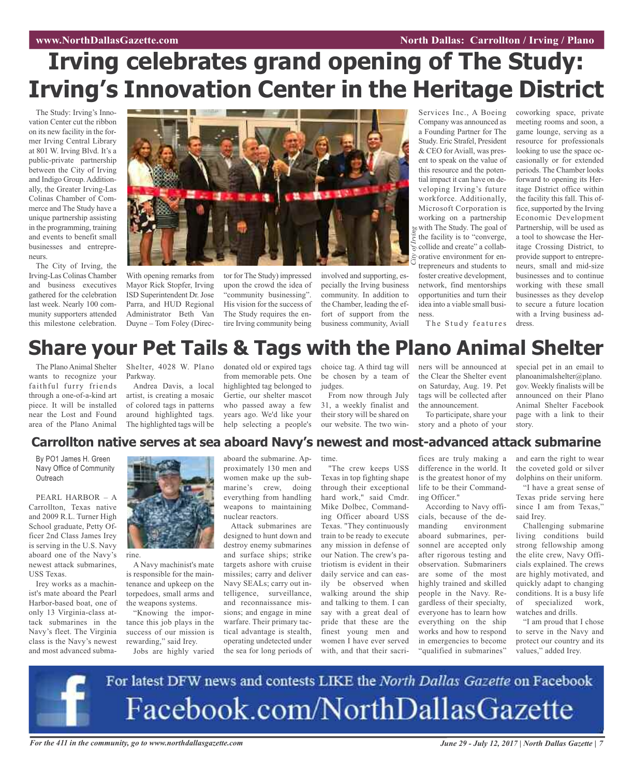### **www.NorthDallasGazette.com NorthDallasGazette.com North Dallas: Carrollton /** Irving **/** Plano

# **Irving celebrates grand opening of The Study: Irving's Innovation Center in the Heritage District**

The Study: Irving's Innovation Center cut the ribbon on its new facility in the former Irving Central Library at 801 W. Irving Blvd. It's a public-private partnership between the City of Irving and Indigo Group.Additionally, the Greater Irving-Las Colinas Chamber of Commerce and The Study have a unique partnership assisting in the programming, training and events to benefit small businesses and entrepreneurs.

The City of Irving, the Irving-Las Colinas Chamber and business executives gathered for the celebration last week. Nearly 100 community supporters attended this milestone celebration.



With opening remarks from Mayor Rick Stopfer, Irving ISD Superintendent Dr.Jose Parra, and HUD Regional Administrator Beth Van Duyne – Tom Foley (Direc-

tor for The Study) impressed upon the crowd the idea of "community businessing". His vision for the success of The Study requires the entire Irving community being

involved and supporting, especially the Irving business community. In addition to the Chamber, leading the effort of support from the business community, Aviall

*City of Irving* Services Inc., A Boeing Company was announced as a Founding Partner for The Study. Eric Strafel, President & CEO forAviall, was present to speak on the value of this resource and the potential impact it can have on developing Irving's future workforce. Additionally, Microsoft Corporation is working on a partnership with The Study. The goal of the facility is to "converge, collide and create" a collaborative environment for entrepreneurs and students to foster creative development, network, find mentorships opportunities and turn their idea into a viable small business. The Study features

coworking space, private meeting rooms and soon, a game lounge, serving as a resource for professionals looking to use the space occasionally or for extended periods. The Chamber looks forward to opening its Heritage District office within the facility this fall. This office, supported by the Irving Economic Development Partnership, will be used as a tool to showcase the Heritage Crossing District, to provide support to entrepreneurs, small and mid-size businesses and to continue working with these small businesses as they develop to secure a future location with a Irving business address.

## **Share your Pet Tails & Tags with the Plano Animal Shelter**

The Plano Animal Shelter wants to recognize your faithful furry friends through a one-of-a-kind art piece. It will be installed near the Lost and Found area of the Plano Animal

Parkway. Andrea Davis, a local

artist, is creating a mosaic of colored tags in patterns around highlighted tags. The highlighted tags will be

Shelter, 4028 W. Plano donated old or expired tags from memorable pets. One highlighted tag belonged to Gertie, our shelter mascot who passed away a few years ago. We'd like your help selecting a people's

choice tag. A third tag will be chosen by a team of judges.

From now through July 31, a weekly finalist and their story will be shared on our website. The two winners will be announced at the Clear the Shelter event on Saturday, Aug. 19. Pet tags will be collected after the announcement.

To participate, share your story and a photo of your

special pet in an email to planoanimalshelter@plano. gov. Weekly finalists will be announced on their Plano Animal Shelter Facebook page with a link to their story.

### **Carrollton native serves at sea aboard Navy's newest and most-advanced attack submarine**

By PO1 James H. Green Navy Office of Community **Outreach** 

PEARL HARBOR – A Carrollton, Texas native and 2009 R.L. Turner High School graduate, Petty Officer 2nd Class James Irey is serving in the U.S. Navy aboard one of the Navy's newest attack submarines, USS Texas.

Irey works as a machinist's mate aboard the Pearl Harbor-based boat, one of only 13 Virginia-class attack submarines in the Navy's fleet. The Virginia class is the Navy's newest and most advanced subma-



A Navy machinist's mate is responsible for the maintenance and upkeep on the torpedoes, small arms and the weapons systems.

"Knowing the importance this job plays in the success of our mission is rewarding," said Irey. Jobs are highly varied aboard the submarine. Approximately 130 men and women make up the submarine's crew, doing everything from handling weapons to maintaining nuclear reactors.

Attack submarines are designed to hunt down and destroy enemy submarines and surface ships; strike targets ashore with cruise missiles; carry and deliver Navy SEALs; carry out intelligence, surveillance, and reconnaissance missions; and engage in mine warfare. Their primary tactical advantage is stealth, operating undetected under the sea for long periods of

time.

"The crew keeps USS Texas in top fighting shape through their exceptional hard work," said Cmdr. Mike Dolbec, Commanding Officer aboard USS Texas. "They continuously train to be ready to execute any mission in defense of our Nation. The crew's patriotism is evident in their daily service and can easily be observed when walking around the ship and talking to them. I can say with a great deal of pride that these are the finest young men and women I have ever served with, and that their sacri-

fices are truly making a difference in the world. It is the greatest honor of my life to be their Commanding Officer."

According to Navy officials, because of the demanding environment aboard submarines, personnel are accepted only after rigorous testing and observation. Submariners are some of the most highly trained and skilled people in the Navy. Regardless of their specialty, everyone has to learn how everything on the ship works and how to respond in emergencies to become "qualified in submarines"

and earn the right to wear the coveted gold or silver dolphins on their uniform.

"I have a great sense of Texas pride serving here since I am from Texas," said Irey.

Challenging submarine living conditions build strong fellowship among the elite crew, Navy Officials explained. The crews are highly motivated, and quickly adapt to changing conditions. It is a busy life of specialized work, watches and drills.

"I am proud that I chose to serve in the Navy and protect our country and its values," added Irey.



For the 411 in the community, go to www.northdallasgazette.com June 29 - July 12, 2017 | North Dallas Gazette | 7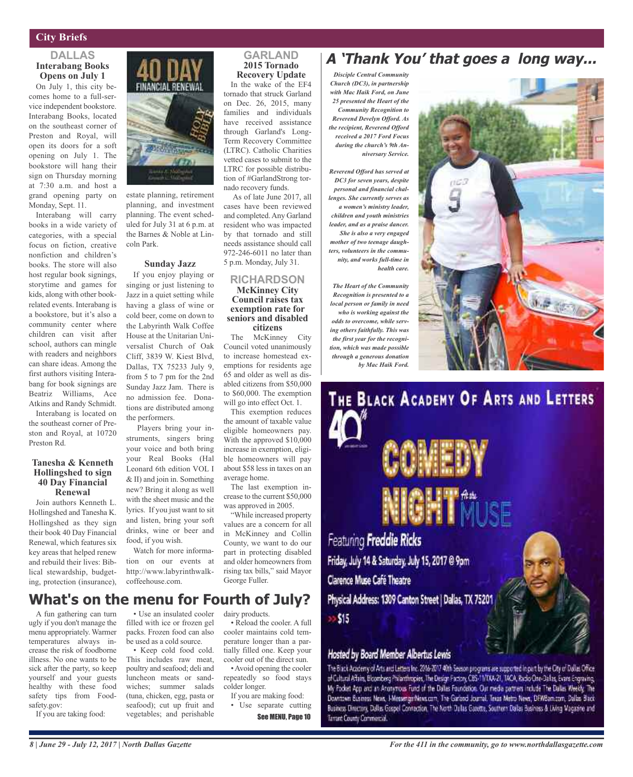### **City Briefs**

#### **DALLAS Interabang Books Opens on July 1**

On July 1, this city becomes home to a full-service independent bookstore. Interabang Books, located on the southeast corner of Preston and Royal, will open its doors for a soft opening on July 1. The bookstore will hang their sign on Thursday morning at 7:30 a.m. and host a grand opening party on Monday, Sept. 11.

Interabang will carry books in a wide variety of categories, with a special focus on fiction, creative nonfiction and children's books. The store will also host regular book signings, storytime and games for kids, along with other bookrelated events. Interabang is a bookstore, but it's also a community center where children can visit after school, authors can mingle with readers and neighbors can share ideas. Among the first authors visiting Interabang for book signings are Beatriz Williams, Ace Atkins and Randy Schmidt.

Interabang is located on the southeast corner of Preston and Royal, at 10720 Preston Rd.

### **Tanesha & Kenneth Hollingshed to sign 40 Day Financial Renewal**

Join authors Kenneth L. Hollingshed and Tanesha K. Hollingshed as they sign their book 40 Day Financial Renewal, which features six key areas that helped renew and rebuild their lives: Biblical stewardship, budgeting, protection (insurance),



estate planning, retirement planning, and investment planning. The event scheduled for July 31 at 6 p.m. at the Barnes & Noble at Lincoln Park.

#### **Sunday Jazz**

If you enjoy playing or singing or just listening to Jazz in a quiet setting while having a glass of wine or cold beer, come on down to the Labyrinth Walk Coffee House at the Unitarian Universalist Church of Oak Cliff, 3839 W. Kiest Blvd, Dallas, TX 75233 July 9, from 5 to 7 pm for the 2nd Sunday Jazz Jam. There is no admission fee. Donations are distributed among the performers.

Players bring your instruments, singers bring your voice and both bring your Real Books (Hal Leonard 6th edition VOL I & II) and join in. Something new? Bring it along as well with the sheet music and the lyrics. If you just want to sit and listen, bring your soft drinks, wine or beer and food, if you wish.

Watch for more information on our events at http://www.labyrinthwalkcoffeehouse.com.

#### **GARLAND 2015 Tornado Recovery Update**

In the wake of the EF4 tornado that struck Garland on Dec. 26, 2015, many families and individuals have received assistance through Garland's Long-Term Recovery Committee (LTRC). Catholic Charities vetted cases to submit to the LTRC for possible distribution of #GarlandStrong tornado recovery funds.

As of late June 2017, all cases have been reviewed and completed.Any Garland resident who was impacted by that tornado and still needs assistance should call 972-246-6011 no later than 5 p.m. Monday, July 31.

#### **RICHARDSON McKinney City Council raises tax exemption rate for seniors and disabled citizens**

The McKinney City Council voted unanimously to increase homestead exemptions for residents age 65 and older as well as disabled citizens from \$50,000 to \$60,000. The exemption will go into effect Oct. 1.

This exemption reduces the amount of taxable value eligible homeowners pay. With the approved \$10,000 increase in exemption, eligible homeowners will pay about \$58 less in taxes on an average home.

The last exemption increase to the current \$50,000 was approved in 2005.

"While increased property values are a concern for all in McKinney and Collin County, we want to do our part in protecting disabled and older homeowners from rising tax bills," said Mayor George Fuller.

### **A 'Thank You' that goes <sup>a</sup> long way...**

*Disciple Central Community Church (DC3), in partnership with Mac Haik Ford, on June 25 presented the Heart of the Community Recognition to Reverend Develyn Offord. As the recipient, Reverend Offord received a 2017 Ford Focus during the church's 9th Anniversary Service.*

*Reverend Offord has served at DC3 for seven years, despite personal and financial challenges. She currently serves as a women's ministry leader, children and youth ministries leader, and as a praise dancer. She is also a very engaged mother of two teenage daughters, volunteers in the community, and works full-time in health care.*

*The Heart of the Community Recognition is presented to a local person or family in need who is working against the odds to overcome, while serving others faithfully. This was the first year for the recognition, which was made possible through a generous donation by Mac Haik Ford.*





### Hosted by Board Member Albertus Lewis

The Black Academy of Arts and Letters Inc. 2016-2017 40th Season programs are supported in part by the Oty of Dallas Office<br>of Cultural Affairs, Bloomberg Philamhropies, The Design Factory, CBS-11/TXA-21, TACA, Radio One-D My Podet App and an Anonymous Fund of the Dallas Foundation. Our media partners include The Dallas Weekly The Downtown Business News, I-Messerige News com, The Garlend Journal, Texas Metro News, DFWBarn.com, Dallas Black Business Directory, Dallas Gospel Connection, The North Dallas Gatetta, Southern Dallas Business & Living Magazine and Tarrant County Commercial.

### **What's on the menu for Fourth of July?**

A fun gathering can turn ugly if you don't manage the menu appropriately. Warmer temperatures always increase the risk of foodborne illness. No one wants to be sick after the party, so keep yourself and your guests healthy with these food safety tips from Foodsafety.gov:

If you are taking food:

• Use an insulated cooler filled with ice or frozen gel packs. Frozen food can also be used as a cold source.

• Keep cold food cold. This includes raw meat, poultry and seafood; deli and luncheon meats or sandwiches; summer salads (tuna, chicken, egg, pasta or seafood); cut up fruit and vegetables; and perishable dairy products.

• Reload the cooler. A full cooler maintains cold temperature longer than a partially filled one. Keep your cooler out of the direct sun.

•Avoid opening the cooler repeatedly so food stays colder longer.

If you are making food: • Use separate cutting

See MENU, Page 10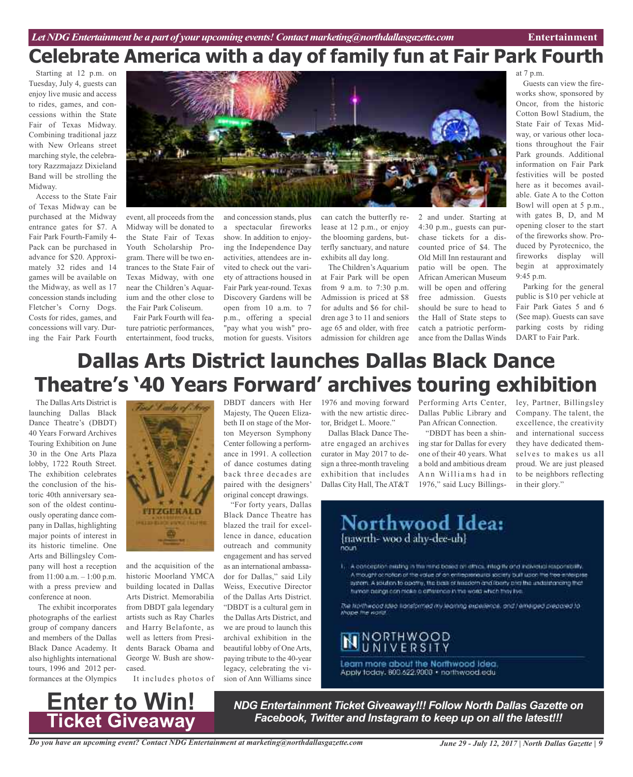### **Celebrate America with a day of family fun at Fair Park Fourth** at 7 p.m.

Starting at 12 p.m. on Tuesday, July 4, guests can enjoy live music and access to rides, games, and concessions within the State Fair of Texas Midway. Combining traditional jazz with New Orleans street marching style, the celebratory Razzmajazz Dixieland Band will be strolling the Midway.

Access to the State Fair of Texas Midway can be purchased at the Midway entrance gates for \$7. A Fair Park Fourth-Family 4- Pack can be purchased in advance for \$20. Approximately 32 rides and 14 games will be available on the Midway, as well as 17 concession stands including Fletcher's Corny Dogs. Costs for rides, games, and concessions will vary. During the Fair Park Fourth



event, all proceeds from the Midway will be donated to the State Fair of Texas Youth Scholarship Program. There will be two entrances to the State Fair of Texas Midway, with one near the Children's Aquarium and the other close to the Fair Park Coliseum.

Fair Park Fourth will feature patriotic performances, entertainment, food trucks,

and concession stands, plus a spectacular fireworks show. In addition to enjoying the Independence Day activities, attendees are invited to check out the variety of attractions housed in Fair Park year-round. Texas Discovery Gardens will be open from 10 a.m. to 7 p.m., offering a special "pay what you wish" promotion for guests. Visitors

can catch the butterfly release at 12 p.m., or enjoy the blooming gardens, butterfly sanctuary, and nature exhibits all day long.

The Children's Aquarium at Fair Park will be open from 9 a.m. to 7:30 p.m. Admission is priced at \$8 for adults and \$6 for children age 3 to 11 and seniors age 65 and older, with free admission for children age 2 and under. Starting at 4:30 p.m., guests can purchase tickets for a discounted price of \$4. The Old Mill Inn restaurant and patio will be open. The African American Museum will be open and offering free admission. Guests should be sure to head to the Hall of State steps to catch a patriotic performance from the Dallas Winds

Guests can view the fireworks show, sponsored by Oncor, from the historic Cotton Bowl Stadium, the State Fair of Texas Midway, or various other locations throughout the Fair Park grounds. Additional information on Fair Park festivities will be posted here as it becomes available. Gate A to the Cotton Bowl will open at 5 p.m., with gates B, D, and M opening closer to the start of the fireworks show. Produced by Pyrotecnico, the fireworks display will begin at approximately 9:45 p.m.

Parking for the general public is \$10 per vehicle at Fair Park Gates 5 and 6 (See map). Guests can save parking costs by riding DART to Fair Park.

## **Dallas Arts District launches Dallas Black Dance Theatre's '40 Years Forward' archives touring exhibition**

The Dallas Arts District is launching Dallas Black Dance Theatre's (DBDT) 40 Years Forward Archives Touring Exhibition on June 30 in the One Arts Plaza lobby, 1722 Routh Street. The exhibition celebrates the conclusion of the historic 40th anniversary season of the oldest continuously operating dance company in Dallas, highlighting major points of interest in its historic timeline. One Arts and Billingsley Company will host a reception from 11:00 a.m. – 1:00 p.m. with a press preview and conference at noon.

The exhibit incorporates photographs of the earliest group of company dancers and members of the Dallas Black Dance Academy. It also highlights international tours, 1996 and 2012 performances at the Olympics



and the acquisition of the historic Moorland YMCA building located in Dallas Arts District. Memorabilia from DBDT gala legendary artists such as Ray Charles and Harry Belafonte, as well as letters from Presidents Barack Obama and George W. Bush are showcased.

It includes photos of

Majesty, The Queen Elizabeth II on stage of the Morton Meyerson Symphony Center following a performance in 1991. A collection of dance costumes dating back three decades are paired with the designers' original concept drawings.

"For forty years, Dallas Black Dance Theatre has blazed the trail for excellence in dance, education outreach and community engagement and has served as an international ambassador for Dallas," said Lily Weiss, Executive Director of the Dallas Arts District. "DBDT is a cultural gem in the Dallas Arts District, and we are proud to launch this archival exhibition in the beautiful lobby of One Arts, paying tribute to the 40-year legacy, celebrating the vision of Ann Williams since

DBDT dancers with Her 1976 and moving forward Performing Arts Center, ley, Partner, Billingsley with the new artistic director, Bridget L. Moore."

Dallas Black Dance Theatre engaged an archives curator in May 2017 to design a three-month traveling exhibition that includes Dallas City Hall, The AT&T

Dallas Public Library and Pan African Connection.

"DBDT has been a shining star for Dallas for every one of their 40 years. What a bold and ambitious dream Ann Williams had in 1976," said Lucy BillingsCompany. The talent, the excellence, the creativity and international success they have dedicated themselves to makes us all proud. We are just pleased to be neighbors reflecting in their glory."

## Northwood Idea: [nawrth-woo d ahv-dee-uh]

1. A conception existing in the mind bosed on efficial relegitivianal education ponsority. A mought or notion of the value of an entrepreneural society built upon the free-entelpise system. A soution to openy, the basis of finedom and iborty and the understanding that human paings con make a attention in the world which they live.

The horthwood ldeb hansformed my learning experience, and I emerged prepared to shcupes in a social

## **NORTHWOOD**

Learn more about the Northwood idea. Apply foday, 800.622.9000 · no thwood.edu



*NDG Entertainment Ticket Giveaway!!! Follow North Dallas Gazette on Facebook, Twitter and Instagram to keep up on all the latest!!!*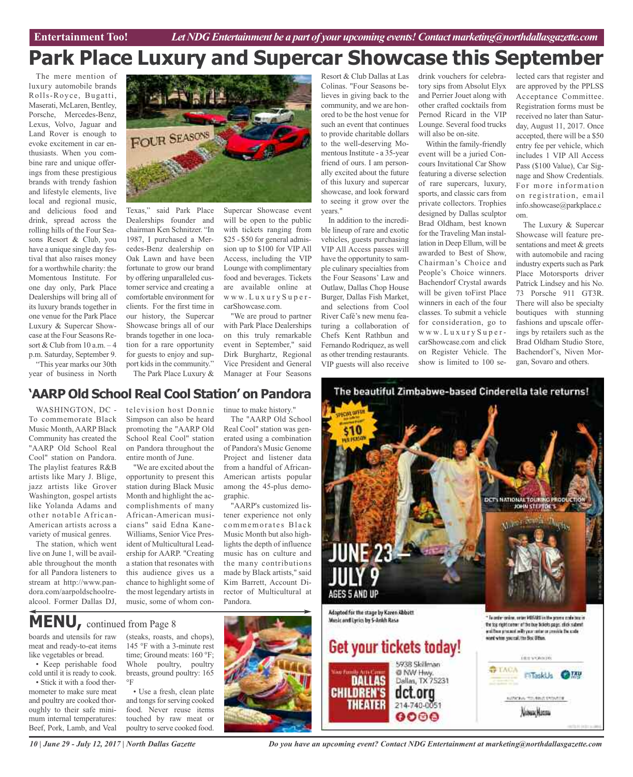## **Park Place Luxury and Supercar Showcase this September**

The mere mention of luxury automobile brands Rolls-Royce, Bugatti, Maserati, McLaren, Bentley, Porsche, Mercedes-Benz, Lexus, Volvo, Jaguar and Land Rover is enough to evoke excitement in car enthusiasts. When you combine rare and unique offerings from these prestigious brands with trendy fashion and lifestyle elements, live local and regional music, and delicious food and drink, spread across the rolling hills of the Four Seasons Resort & Club, you have a unique single day festival that also raises money for a worthwhile charity: the Momentous Institute. For one day only, Park Place Dealerships will bring all of its luxury brands together in one venue for the Park Place Luxury & Supercar Showcase at the Four Seasons Resort & Club from 10 a.m. – 4 p.m. Saturday, September 9. "This year marks our 30th

FOUR SEASONS

Texas," said Park Place Dealerships founder and chairman Ken Schnitzer. "In 1987, I purchased a Mercedes-Benz dealership on Oak Lawn and have been fortunate to grow our brand by offering unparalleled customer service and creating a comfortable environment for clients. For the first time in our history, the Supercar Showcase brings all of our brands together in one location for a rare opportunity for guests to enjoy and support kids in the community." The Park Place Luxury &

Supercar Showcase event will be open to the public with tickets ranging from \$25 - \$50 for general admission up to \$100 for VIP All Access, including the VIP Lounge with complimentary food and beverages. Tickets are available online at w w w. L u x u r y S u p e r carShowcase.com.

"We are proud to partner with Park Place Dealerships on this truly remarkable event in September," said Dirk Burghartz, Regional Vice President and General Manager at Four Seasons

Resort & Club Dallas at Las Colinas. "Four Seasons believes in giving back to the community, and we are honored to be the host venue for such an event that continues to provide charitable dollars to the well-deserving Momentous Institute - a 35-year friend of ours. I am personally excited about the future of this luxury and supercar showcase, and look forward to seeing it grow over the years."

In addition to the incredible lineup of rare and exotic vehicles, guests purchasing VIP All Access passes will have the opportunity to sample culinary specialties from the Four Seasons' Law and Outlaw, Dallas Chop House Burger, Dallas Fish Market, and selections from Cool River Café's new menu featuring a collaboration of Chefs Kent Rathbun and Fernando Rodriquez, as well as other trending restaurants. VIP guests will also receive drink vouchers for celebratory sips from Absolut Elyx and Perrier Jouet along with other crafted cocktails from Pernod Ricard in the VIP Lounge. Several food trucks will also be on-site.

Within the family-friendly event will be a juried Concours Invitational Car Show featuring a diverse selection of rare supercars, luxury, sports, and classic cars from private collectors. Trophies designed by Dallas sculptor Brad Oldham, best known for the Traveling Man installation in Deep Ellum, will be awarded to Best of Show, Chairman's Choice and People's Choice winners. Bachendorf Crystal awards will be given toFirst Place winners in each of the four classes. To submit a vehicle for consideration, go to w w w. L u x u r y S u p e r carShowcase.com and click on Register Vehicle. The show is limited to 100 se-

lected cars that register and are approved by the PPLSS Acceptance Committee. Registration forms must be received no later than Saturday, August 11, 2017. Once accepted, there will be a \$50 entry fee per vehicle, which includes 1 VIP All Access Pass (\$100 Value), Car Signage and Show Credentials. For more information on registration, email info.showcase@parkplace.c om.

The Luxury & Supercar Showcase will feature presentations and meet & greets with automobile and racing industry experts such as Park Place Motorsports driver Patrick Lindsey and his No. 73 Porsche 911 GT3R. There will also be specialty boutiques with stunning fashions and upscale offerings by retailers such as the Brad Oldham Studio Store, Bachendorf's, Niven Morgan, Sovaro and others.



**'AARP Old School Real Cool Station' on Pandora**

WASHINGTON, DC - To commemorate Black Music Month, AARP Black Community has created the "AARP Old School Real Cool" station on Pandora. The playlist features R&B artists like Mary J. Blige, jazz artists like Grover Washington, gospel artists like Yolanda Adams and other notable African-American artists across a variety of musical genres.

year of business in North

The station, which went live on June 1, will be available throughout the month for all Pandora listeners to stream at http://www.pandora.com/aarpoldschoolrealcool. Former Dallas DJ, television host Donnie Simpson can also be heard promoting the "AARP Old School Real Cool" station on Pandora throughout the entire month of June.

"We are excited about the opportunity to present this station during Black Music Month and highlight the accomplishments of many African-American musicians" said Edna Kane-Williams, Senior Vice President of Multicultural Leadership for AARP. "Creating a station that resonates with this audience gives us a chance to highlight some of the most legendary artists in music, some of whom continue to make history."

The "AARP Old School Real Cool" station was generated using a combination of Pandora's Music Genome Project and listener data from a handful of African-American artists popular among the 45-plus demographic.

"AARP's customized listener experience not only commemorates Black Music Month but also highlights the depth of influence music has on culture and the many contributions made by Black artists," said Kim Barrett, Account Director of Multicultural at Pandora.

### **MENU,** continued from Page <sup>8</sup>

boards and utensils for raw meat and ready-to-eat items like vegetables or bread.

• Keep perishable food cold until it is ready to cook. • Stick it with a food thermometer to make sure meat and poultry are cooked thoroughly to their safe minimum internal temperatures: Beef, Pork, Lamb, and Veal

(steaks, roasts, and chops), 145 °F with a 3-minute rest time; Ground meats: 160 °F; Whole poultry, poultry breasts, ground poultry: 165 °F

• Use a fresh, clean plate and tongs for serving cooked food. Never reuse items touched by raw meat or poultry to serve cooked food.



*Do you have an upcoming event? Contact NDG Entertainment at marketing@northdallasgazette.com*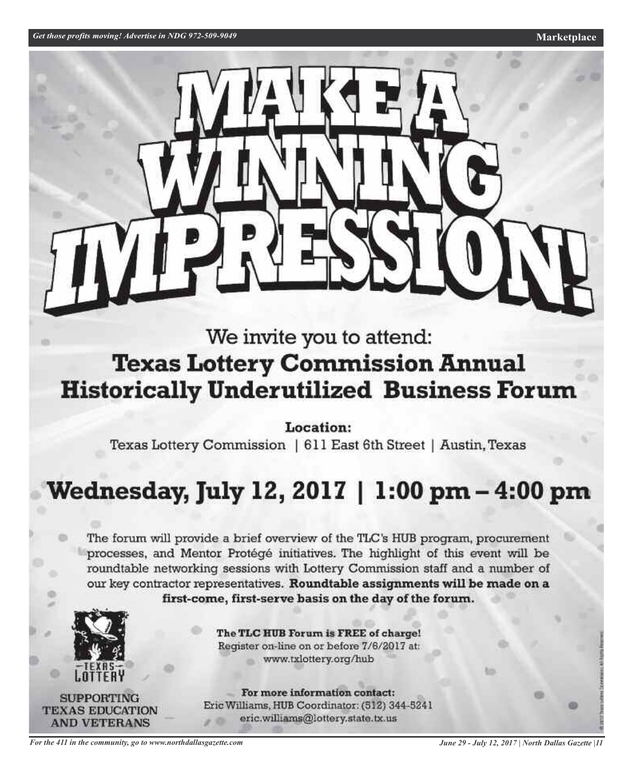We invite you to attend:

## **Texas Lottery Commission Annual Historically Underutilized Business Forum**

Location:

Texas Lottery Commission | 611 East 6th Street | Austin, Texas

# **Wednesday, July 12, 2017 | 1:00 pm – 4:00 pm**

The forum will provide a brief overview of the TLC's HUB program, procurement processes, and Mentor Protégé initiatives. The highlight of this event will be roundtable networking sessions with Lottery Commission staff and a number of our key contractor representatives. Roundtable assignments will be made on a first-come, first-serve basis on the day of the forum.



The TLC HUB Forum is FREE of charge! Register on-line on or before 7/6/2017 at: www.txlottery.org/hub

**SUPPORTING TEXAS EDUCATION AND VETERANS** 

For more information contact: Eric Williams, HUB Coordinator: (512) 344-5241 eric.williams@lottery.state.tx.us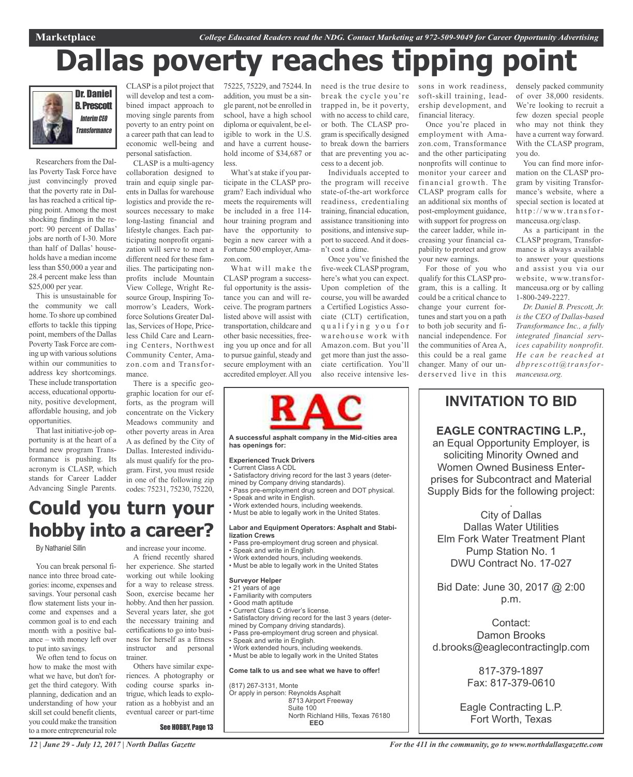break the cycle you're trapped in, be it poverty, with no access to child care, or both. The CLASP program isspecifically designed to break down the barriers that are preventing you ac-

Individuals accepted to the program will receive state-of-the-art workforce readiness, credentialing training, financial education, assistance transitioning into positions, and intensive support to succeed.And it does-

Once you've finished the five-week CLASP program, here's what you can expect. Upon completion of the course, you will be awarded a Certified Logistics Associate (CLT) certification, qualifying you for warehouse work with Amazon.com. But you'll get more than just the associate certification. You'll

cess to a decent job.

n't cost a dime.

# **Dallas poverty reaches tipping point**



Researchers from the Dallas Poverty Task Force have just convincingly proved that the poverty rate in Dallas has reached a critical tipping point. Among the most shocking findings in the report: 90 percent of Dallas' jobs are north of I-30. More than half of Dallas' households have a median income less than \$50,000 a year and 28.4 percent make less than \$25,000 per year.

This is unsustainable for the community we call home. To shore up combined efforts to tackle this tipping point, members of the Dallas Poverty Task Force are coming up with various solutions within our communities to address key shortcomings. These include transportation access, educational opportunity, positive development, affordable housing, and job opportunities.

That last initiative-job opportunity is at the heart of a brand new program Transformance is pushing. Its acronym is CLASP, which stands for Career Ladder Advancing Single Parents.

CLASP is a pilot project that will develop and test a combined impact approach to moving single parents from poverty to an entry point on a career path that can lead to economic well-being and personal satisfaction.

CLASP is a multi-agency collaboration designed to train and equip single parents in Dallas for warehouse logistics and provide the resources necessary to make long-lasting financial and lifestyle changes. Each participating nonprofit organization will serve to meet a different need for these families. The participating nonprofits include Mountain View College, Wright Resource Group, Inspiring Tomorrow's Leaders, Workforce Solutions Greater Dallas, Services of Hope, Priceless Child Care and Learning Centers, Northwest Community Center, Amazon.com and Transformance.

There is a specific geographic location for our efforts, as the program will concentrate on the Vickery Meadows community and other poverty areas in Area A as defined by the City of Dallas. Interested individuals must qualify for the program. First, you must reside in one of the following zip codes: 75231, 75230, 75220,

## **Could you turn your hobby into a career?**

#### By Nathaniel Sillin

You can break personal finance into three broad categories: income, expenses and savings. Your personal cash flow statement lists your income and expenses and a common goal is to end each month with a positive balance – with money left over to put into savings.

We often tend to focus on how to make the most with what we have, but don't forget the third category. With planning, dedication and an understanding of how your skill set could benefit clients, you could make the transition to a more entrepreneurial role

and increase your income.

A friend recently shared her experience. She started working out while looking for a way to release stress. Soon, exercise became her hobby.And then her passion. Several years later, she got the necessary training and certifications to go into business for herself as a fitness instructor and personal trainer.

Others have similar experiences. A photography or coding course sparks intrigue, which leads to exploration as a hobbyist and an eventual career or part-time

See HOBBY, Page 13

addition, you must be a single parent, not be enrolled in school, have a high school diploma or equivalent, be eligible to work in the U.S. and have a current household income of \$34,687 or less.

What's at stake if you participate in the CLASP program? Each individual who meets the requirements will be included in a free 114 hour training program and have the opportunity to begin a new career with a Fortune 500 employer,Amazon.com.

What will make the CLASP program a successful opportunity is the assistance you can and will receive. The program partners listed above will assist with transportation, childcare and other basic necessities, freeing you up once and for all to pursue gainful, steady and secure employment with an accredited employer.All you

also receive intensive les-

**A successful asphalt company in the Mid-cities area has openings for:**

#### **Experienced Truck Drivers**

• Current Class A CDL

- Satisfactory driving record for the last 3 years (determined by Company driving standards).
- Pass pre-employment drug screen and DOT physical. • Speak and write in English.
- Work extended hours, including weekends. • Must be able to legally work in the United States.
- 

#### **Labor and Equipment Operators: Asphalt and Stabilization Crews**

- Pass pre-employment drug screen and physical.
- Speak and write in English.
- Work extended hours, including weekends. • Must be able to legally work in the United States

#### **Surveyor Helper**

- 21 years of age
- Familiarity with computers
- Good math aptitude • Current Class C driver's license.
- 
- Satisfactory driving record for the last 3 years (determined by Company driving standards).
- Pass pre-employment drug screen and physical.
- Speak and write in English.
- Work extended hours, including weekends.
- Must be able to legally work in the United States

#### **Come talk to us and see what we have to offer!**

(817) 267-3131, Monte Or apply in person: Reynolds Asphalt 8713 Airport Freeway Suite 100 North Richland Hills, Texas 76180 **EEO**

75225, 75229, and 75244. In need is the true desire to sons in work readiness, densely packed community soft-skill training, leadership development, and financial literacy.

> Once you're placed in employment with Amazon.com, Transformance and the other participating nonprofits will continue to monitor your career and financial growth. The CLASP program calls for an additional six months of post-employment guidance, with support for progress on the career ladder, while increasing your financial capability to protect and grow your new earnings.

> For those of you who qualify for this CLASP program, this is a calling. It could be a critical chance to change your current fortunes and start you on a path to both job security and financial independence. For the communities of Area A, this could be a real game changer. Many of our underserved live in this

of over 38,000 residents. We're looking to recruit a few dozen special people who may not think they have a current way forward. With the CLASP program, you do.

You can find more information on the CLASP program by visiting Transformance's website, where a special section is located at  $http://www.transfor$ manceusa.org/clasp.

As a participant in the CLASP program, Transformance is always available to answer your questions and assist you via our website, www.transformanceusa.org or by calling 1-800-249-2227.

*Dr. Daniel B. Prescott, Jr. is the CEO of Dallas-based Transformance Inc., a fully integrated financial services capability nonprofit. He can be reached at*  $dbprescot t@, transfor$ *manceusa.org.*

### **INVITATION TO BID**

**EAGLE CONTRACTING L.P.,**

an Equal Opportunity Employer, is soliciting Minority Owned and Women Owned Business Enterprises for Subcontract and Material Supply Bids for the following project:

. City of Dallas Dallas Water Utilities Elm Fork Water Treatment Plant Pump Station No. 1 DWU Contract No. 17-027

Bid Date: June 30, 2017 @ 2:00 p.m.

Contact: Damon Brooks d.brooks@eaglecontractinglp.com

> 817-379-1897 Fax: 817-379-0610

Eagle Contracting L.P. Fort Worth, Texas

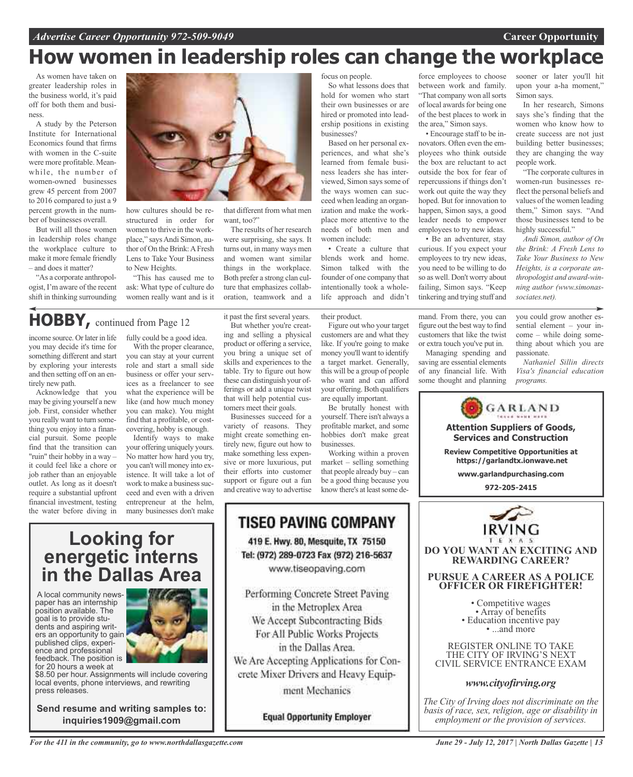## **How women in leadership roles can change the workplace**

focus on people.

businesses?

women include:

So what lessons does that hold for women who start their own businesses or are hired or promoted into leadership positions in existing

Based on her personal experiences, and what she's

the ways women can succeed when leading an organization and make the workplace more attentive to the needs of both men and

• Create a culture that blends work and home. Simon talked with the founder of one company that intentionally took a wholelife approach and didn't

As women have taken on greater leadership roles in the business world, it's paid off for both them and business.

A study by the Peterson Institute for International Economics found that firms with women in the C-suite were more profitable. Meanwhile, the number of women-owned businesses grew 45 percent from 2007 to 2016 compared to just a 9 percent growth in the number of businesses overall.

But will all those women in leadership roles change the workplace culture to make it more female friendly – and does it matter?

"As a corporate anthropologist, I'm aware of the recent shift in thinking surrounding

income source. Or later in life you may decide it's time for something different and start by exploring your interests and then setting off on an en-

**HOBBY,** continued from Page <sup>12</sup>

Acknowledge that you may be giving yourself a new job. First, consider whether you really want to turn something you enjoy into a financial pursuit. Some people find that the transition can "ruin" their hobby in a way – it could feel like a chore or job rather than an enjoyable outlet. As long as it doesn't require a substantial upfront financial investment, testing the water before diving in

tirely new path.



how cultures should be restructured in order for women to thrive in the workplace," saysAndi Simon, author of On the Brink: A Fresh Lens to Take Your Business to New Heights.

"This has caused me to ask: What type of culture do women really want and is it

fully could be a good idea. With the proper clearance, you can stay at your current role and start a small side business or offer your services as a freelancer to see what the experience will be like (and how much money you can make). You might find that a profitable, or costcovering, hobby is enough. Identify ways to make your offering uniquely yours. No matter how hard you try, you can't will money into existence. It will take a lot of work to make a business succeed and even with a driven entrepreneur at the helm, many businesses don't make

learned from female business leaders she has interviewed, Simon says some of

that different from what men want, too?"

The results of her research were surprising, she says. It turns out, in many ways men and women want similar things in the workplace. Both prefer a strong clan culture that emphasizes collaboration, teamwork and a

it past the first several years. their product.

But whether you're creating and selling a physical product or offering a service, you bring a unique set of skills and experiences to the table. Try to figure out how these can distinguish your offerings or add a unique twist that will help potential customers meet their goals.

Businesses succeed for a variety of reasons. They might create something entirely new, figure out how to make something less expensive or more luxurious, put their efforts into customer support or figure out a fun and creative way to advertise

### Figure out who your target

customers are and what they like. If you're going to make money you'll want to identify a target market. Generally, this will be a group of people who want and can afford your offering. Both qualifiers are equally important.

Be brutally honest with yourself. There isn't always a profitable market, and some hobbies don't make great

market – selling something that people already buy – can be a good thing because you know there's at least some de-

force employees to choose between work and family. "That company won all sorts" of local awards for being one of the best places to work in the area," Simon says.

• Encourage staff to be innovators. Often even the employees who think outside the box are reluctant to act outside the box for fear of repercussions if things don't work out quite the way they hoped. But for innovation to happen, Simon says, a good leader needs to empower employees to try new ideas.

• Be an adventurer, stay curious. If you expect your employees to try new ideas, you need to be willing to do so as well. Don't worry about failing, Simon says. "Keep tinkering and trying stuff and

mand. From there, you can figure out the best way to find customers that like the twist or extra touch you've put in.

Managing spending and saving are essential elements of any financial life. With some thought and planning

sooner or later you'll hit upon your a-ha moment," Simon says.

In her research, Simons says she's finding that the women who know how to create success are not just building better businesses; they are changing the way people work.

"The corporate cultures in women-run businesses reflect the personal beliefs and values of the women leading them," Simon says. "And those businesses tend to be highly successful."

*Andi Simon, author of On the Brink: A Fresh Lens to Take Your Business to New Heights, is a corporate anthropologist and award-winning author (www.simonassociates.net).*

you could grow another essential element – your income – while doing something about which you are passionate.

*Nathaniel Sillin directs Visa's financial education programs.*

GARLAND **Attention Suppliers of Goods, Services and Construction Review Competitive Opportunities at https://garlandtx.ionwave.net www.garlandpurchasing.com 972-205-2415**



**DO YOU WANT AN EXCITING AND REWARDING CAREER?**

### **PURSUE A CAREER AS A POLICE OFFICER OR FIREFIGHTER!**

• Competitive wages<br>• Array of benefits<br>• Education incentive pay<br>• ...and more

REGISTER ONLINE TO TAKE THE CITY OF IRVING'S NEXT CIVIL SERVICE ENTRANCE EXAM

### *www.cityofirving.org*

*The City of Irving does not discriminate on the basis of race, sex, religion, age or disability in employment or the provision of services.*

### **Looking for energetic interns in the Dallas Area**

<sup>A</sup> local community news- paper has an internship position available. The<br>goal is to provide students and aspiring writ-<br>ers an opportunity to gain<br>published clips, experience and professional feedback. The position is for 20 hours a week at



\$8.50 per hour. Assignments will include covering local events, phone interviews, and rewriting press releases.

**Send resume and writing samples to: inquiries1909@gmail.com**

businesses. Working within a proven

### **TISEO PAVING COMPANY** 419 E. Hwy. 80, Mesquite, TX 75150 Tel: (972) 289-0723 Fax (972) 216-5637 www.tiseopaving.com

Performing Concrete Street Paving in the Metroplex Area We Accept Subcontracting Bids For All Public Works Projects in the Dallas Area. We Are Accepting Applications for Con-

crete Mixer Drivers and Heavy Equip-

ment Mechanics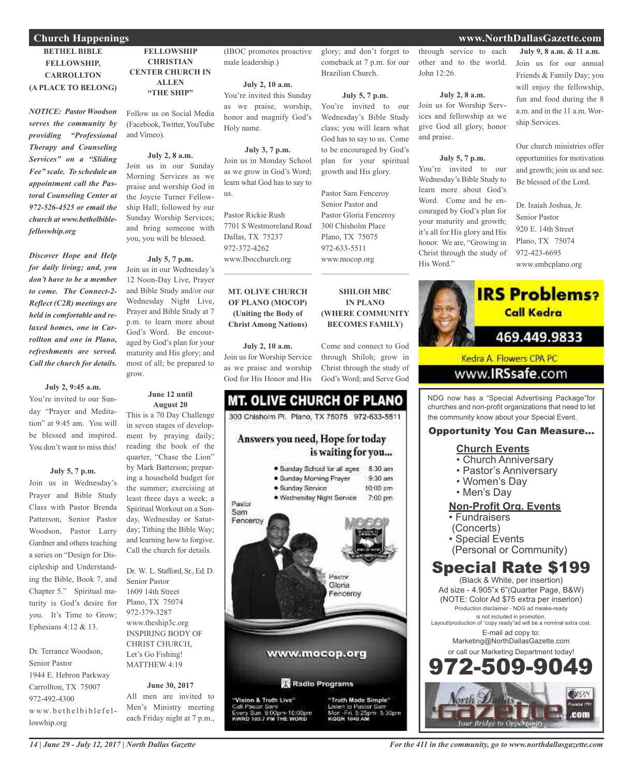### **BETHEL BIBLE FELLOWSHIP, CARROLLTON (A PLACE TO BELONG)**

*NOTICE: Pastor Woodson serves the community by providing "Professional Therapy and Counseling Services" on a "Sliding Fee" scale. To schedule an appointment call the Pastoral Counseling Center at 972-526-4525 or email the church at www.bethelbiblefelloswhip.org*

*Discover Hope and Help for daily living; and, you don't have to be a member to come. The Connect-2- Reflect (C2R) meetings are held in comfortable and relaxed homes, one in Carrollton and one in Plano, refreshments are served. Call the church for details.*

#### **July 2, 9:45 a.m.**

You're invited to our Sunday "Prayer and Meditation" at 9:45 am. You will be blessed and inspired. You don't want to miss this!

#### **July 5, 7 p.m.**

Join us in Wednesday's Prayer and Bible Study Class with Pastor Brenda Patterson, Senior Pastor Woodson, Pastor Larry Gardner and others teaching a series on "Design for Discipleship and Understanding the Bible, Book 7, and Chapter 5." Spiritual maturity is God's desire for you. It's Time to Grow; Ephesians 4:12 & 13.

Dr. Terrance Woodson, Senior Pastor 1944 E. Hebron Parkway Carrollton, TX 75007 972-492-4300 www.bethelbiblefelloswhip.org

### **FELLOWSHIP CHRISTIAN CENTER CHURCH IN ALLEN "THE SHIP"**

Follow us on Social Media (Facebook, Twitter,YouTube and Vimeo).

#### **July 2, 8 a.m.**

Join us in our Sunday Morning Services as we praise and worship God in the Joycie Turner Fellowship Hall; followed by our Sunday Worship Services; and bring someone with you, you will be blessed.

### **July 5, 7 p.m.**

Join us in our Wednesday's 12 Noon-Day Live, Prayer and Bible Study and/or our Wednesday Night Live, Prayer and Bible Study at 7 p.m. to learn more about God's Word. Be encouraged by God's plan for your maturity and His glory; and most of all; be prepared to grow.

#### **June 12 until August 20**

This is a 70 Day Challenge in seven stages of development by praying daily; reading the book of the quarter, "Chase the Lion" by Mark Batterson; preparing a household budget for the summer; exercising at least three days a week; a Spiritual Workout on a Sunday, Wednesday or Saturday; Tithing the Bible Way; and learning how to forgive. Call the church for details.

Dr. W. L. Stafford, Sr.,Ed. D. Senior Pastor 1609 14th Street Plano, TX 75074 972-379-3287 www.theship3c.org INSPIRING BODY OF CHRIST CHURCH, Let's Go Fishing! MATTHEW 4:19

### **June 30, 2017**

All men are invited to Men's Ministry meeting each Friday night at 7 p.m., (IBOC promotes proactive male leadership.)

glory; and don't forget to comeback at 7 p.m. for our

**July 5, 7 p.m.** You're invited to our Wednesday's Bible Study class; you will learn what God has to say to us. Come to be encouraged by God's plan for your spiritual growth and His glory.

Pastor Sam Fenceroy Senior Pastor and Pastor Gloria Fenceroy 300 Chisholm Place Plano, TX 75075 972-633-5511 www.mocop.org

 $\overline{\phantom{a}}$  , and the set of the set of the set of the set of the set of the set of the set of the set of the set of the set of the set of the set of the set of the set of the set of the set of the set of the set of the s

**SHILOH MBC IN PLANO (WHERE COMMUNITY BECOMES FAMILY)**

Come and connect to God through Shiloh; grow in Christ through the study of God's Word; and Serve God

is waiting for you...

Brazilian Church.

**July 2, 10 a.m.** You're invited this Sunday as we praise, worship, honor and magnify God's Holy name.

### **July 3, 7 p.m.**

Join us in Monday School as we grow in God's Word; learn what God has to say to us.

Pastor Rickie Rush 7701 S Westmoreland Road Dallas, TX 75237 972-372-4262 www.Ibocchurch.org

### **MT. OLIVE CHURCH OF PLANO (MOCOP) (Uniting the Body of Christ Among Nations)**

 $\overline{\phantom{a}}$  , and the set of the set of the set of the set of the set of the set of the set of the set of the set of the set of the set of the set of the set of the set of the set of the set of the set of the set of the s

**July 2, 10 a.m.** Join us for Worship Service as we praise and worship God for His Honor and His

### MT. OLIVE CHURCH OF PLANO 300 Chishoim Pl. Plano, TX 75075 972-633-5511 Answers you need, Hope for today

· Sunday School for all ages 8:30 am  $9-30$  am · Sunday Morning Prayer  $10:00$  am · Sunday Service · Wednesday Night Service 7:00 pm Pastor Sam Fenceroy Pastor Gloria Fencerov www.mocop.org Radio Programs "Truth Mode Simple" "Vision & Truth Live" all Pa I Pastor Sam<br>ry Sun. 9:00pm-10:00pm<br>RD 103.7 FM THE WORD  $5.25<sub>cm</sub>$ 5:30pm KODN 1040 AF

through service to each other and to the world. John 12:26.

### **July 2, 8 a.m.**

Join us for Worship Services and fellowship as we give God all glory, honor and praise.

#### **July 5, 7 p.m.**

You're invited to our Wednesday's Bible Study to learn more about God's Word. Come and be encouraged by God's plan for your maturity and growth; it's all for His glory and His honor. We are, "Growing in Christ through the study of His Word."

**July 9, 8 a.m. & 11 a.m.** Join us for our annual Friends & Family Day; you will enjoy the fellowship, fun and food during the 8 a.m. and in the 11 a.m. Worship Services.

Our church ministries offer opportunities for motivation and growth; join us and see. Be blessed of the Lord.

Dr. Isaiah Joshua, Jr. Senior Pastor 920 E. 14th Street Plano, TX 75074 972-423-6695 www.smbcplano.org

**IRS Problems?** 



### www.**IRSsafe**.com

NDG now has a "Special Advertising Package"for churches and non-profit organizations that need to let the community know about your Special Event.

### Opportunity You Can Measure...

### **Church Events**

- Church Anniversary
- Pastor's Anniversary
- Women's Day
- Men's Day

### **Non-Profit Org. Events**

- Fundraisers
- (Concerts)
- Special Events
- (Personal or Community)

### Special Rate \$199

(Black & White, per insertion) Ad size - 4.905"x 6"(Quarter Page, B&W) (NOTE: Color Ad \$75 extra per inserion) Production disclaimer - NDG ad meake-ready is not included in promotion. Layout/production of "copy ready"ad will be a nominal extra cost. E-mail ad copy to: Marketing@NorthDallasGazette.com or call our Marketing Department today! 972-509-9049



#### *For the 411 in the community, go to www.northdallasgazette.com*

### **Church Happenings www.NorthDallasGazette.com**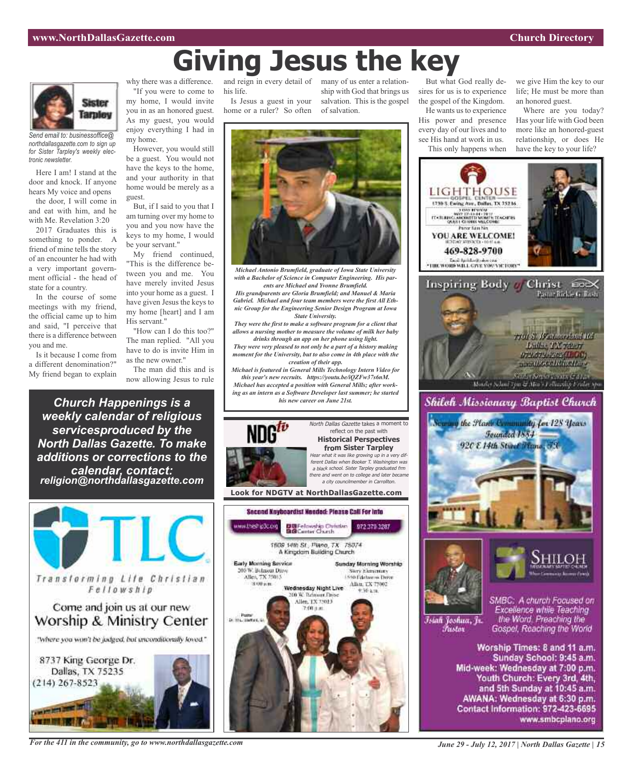## Sister amlay

*Send email to: businessoffice@ northdallasgazette.com to sign up for Sister Tarpley's weekly electronic newsletter.*

Here I am! I stand at the door and knock. If anyone hears My voice and opens

the door, I will come in and eat with him, and he with Me. Revelation 3:20

2017 Graduates this is something to ponder. A friend of mine tells the story of an encounter he had with a very important government official - the head of state for a country.

In the course of some meetings with my friend, the official came up to him and said, "I perceive that there is a difference between you and me.

Is it because I come from a different denomination?" My friend began to explain

why there was a difference. "If you were to come to my home, I would invite you in as an honored guest. As my guest, you would enjoy everything I had in my home.

However, you would still be a guest. You would not have the keys to the home, and your authority in that home would be merely as a guest.

But, if I said to you that I am turning over my home to you and you now have the keys to my home, I would be your servant."

My friend continued, "This is the difference between you and me. You have merely invited Jesus into your home as a guest. I have given Jesus the keys to my home [heart] and I am His servant."

"How can I do this too?" The man replied. "All you have to do is invite Him in as the new owner."

The man did this and is now allowing Jesus to rule

*C his new career on June 21st. hurch Happenings is a weekly calendar of religious servicesproduced by the North Dallas Gazette. To make additions or corrections to the calendar, contact: religion@northdallasgazette.com*



*For the 411 in the community, go to www.northdallasgazette.com*

his life.

Is Jesus a guest in your home or a ruler? So often

and reign in every detail of many of us enter a relationship with God that brings us salvation. This is the gospel of salvation.



**Giving Jesus the key**

*Michael Antonio Brumfield, graduate of Iowa State University with a Bachelor of Science in Computer Engineering. His parents are Michael and Yvonne Brumfield.*

*His grandparents are Gloria Brumfield; and Manuel & Maria Gabriel. Michael and four team members were the first All Ethnic Group for the Engineering Senior Design Program at Iowa State University.*

*They were the first to make a software program for a client that allows a nursing mother to measure the volume of milk her baby drinks through an app on her phone using light.*

*They were very pleased to not only be a part of a history making moment for the University, but to also come in 4th place with the creation of their app.*

*Michael is featured in General Mills Technology Intern Video for this year's new recruits. https://youtu.be/iQZFw37s6nM.*

*Michael has accepted a position with General Mills; after working as an intern as a Software Developer last summer; he started*



reflect on the past with **Historical Perspectives from Sister Tarpley** Hear what it was like growing up in <sup>a</sup> very different Dallas when Booker T. Washington was <sup>a</sup> black school. Sister Tarpley graduated frm there and went on to college and later became <sup>a</sup> city councilmember in Carrollton.

**Look for NDGTV at NorthDallasGazette.com**



But what God really desires for us is to experience the gospel of the Kingdom. He wants us to experience

His power and presence every day of our lives and to see His hand at work in us. This only happens when

we give Him the key to our life; He must be more than an honored guest.

Where are you today? Has your life with God been more like an honored-guest relationship, or does He have the key to your life?